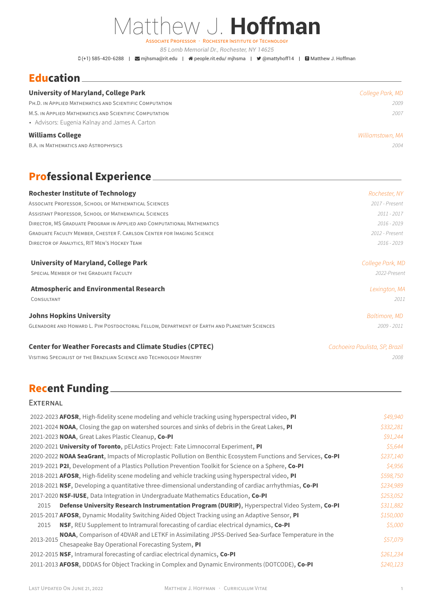# Matthew J. **Hoffman**

ASSOCiATE PROFESSOR · ROCHESTER INSTiTUTE OF TECHNOLOGY

*85 Lomb Memorial Dr., Rochester, NY 14625*

 $D(+1)$  585-420-6288 |  $\blacksquare$  [mjhsma@rit.edu](mailto:mjhsma@rit.edu) |  $\clubsuit$  [people.rit.edu/ mjhsma](http://people.rit.edu/~mjhsma) |  $\blacktriangleright$  [@mattyhoff14](https://twitter.com/@mattyhoff14) |  $\blacksquare$  [Matthew J. Hoffman](https://scholar.google.com/citations?user=64_fAxoAAAAJ)

### **Education**

| <b>University of Maryland, College Park</b>             | College Park, MD |
|---------------------------------------------------------|------------------|
| PH.D. IN APPLIED MATHEMATICS AND SCIENTIFIC COMPUTATION | 2009             |
| M.S. IN APPLIED MATHEMATICS AND SCIENTIFIC COMPUTATION  | 2007             |
| • Advisors: Eugenia Kalnay and James A. Carton          |                  |
| <b>Williams College</b>                                 | Williamstown, MA |
| <b>B.A. IN MATHEMATICS AND ASTROPHYSICS</b>             | 2004             |

# **Professional Experience**

| <b>Rochester Institute of Technology</b>                                                    | Rochester, NY                  |
|---------------------------------------------------------------------------------------------|--------------------------------|
| ASSOCIATE PROFESSOR, SCHOOL OF MATHEMATICAL SCIENCES                                        | 2017 - Present                 |
| ASSISTANT PROFESSOR, SCHOOL OF MATHEMATICAL SCIENCES                                        | $2011 - 2017$                  |
| DIRECTOR, MS GRADUATE PROGRAM IN APPLIED AND COMPUTATIONAL MATHEMATICS                      | 2016 - 2019                    |
| GRADUATE FACULTY MEMBER, CHESTER F. CARLSON CENTER FOR IMAGING SCIENCE                      | 2012 - Present                 |
| DIRECTOR OF ANALYTICS, RIT MEN'S HOCKEY TEAM                                                | $2016 - 2019$                  |
| <b>University of Maryland, College Park</b>                                                 | College Park, MD               |
| SPECIAL MEMBER OF THE GRADUATE FACULTY                                                      | 2022-Present                   |
| <b>Atmospheric and Environmental Research</b>                                               | Lexington, MA                  |
| CONSULTANT                                                                                  | 2011                           |
| <b>Johns Hopkins University</b>                                                             | <b>Baltimore, MD</b>           |
| GLENADORE AND HOWARD L. PIM POSTDOCTORAL FELLOW, DEPARTMENT OF EARTH AND PLANETARY SCIENCES | 2009 - 2011                    |
| <b>Center for Weather Forecasts and Climate Studies (CPTEC)</b>                             | Cachoeira Paulista, SP, Brazil |
| VISITING SPECIALIST OF THE BRAZILIAN SCIENCE AND TECHNOLOGY MINISTRY                        | 2008                           |

## **Recent Funding**

#### **EXTERNAL**

| 2022-2023 AFOSR, High-fidelity scene modeling and vehicle tracking using hyperspectral video, PI              | \$49,940  |
|---------------------------------------------------------------------------------------------------------------|-----------|
| 2021-2024 NOAA, Closing the gap on watershed sources and sinks of debris in the Great Lakes, PI               | \$332,281 |
| 2021-2023 NOAA, Great Lakes Plastic Cleanup, Co-PI                                                            | \$91,244  |
| 2020-2021 University of Toronto, pELAstics Project: Fate Limnocorral Experiment, PI                           | \$5.644   |
| 2020-2022 NOAA SeaGrant, Impacts of Microplastic Pollution on Benthic Ecosystem Functions and Services, Co-PI | \$237,140 |
| 2019-2021 P2I, Development of a Plastics Pollution Prevention Toolkit for Science on a Sphere, Co-PI          | \$4,956   |
| 2018-2021 AFOSR, High-fidelity scene modeling and vehicle tracking using hyperspectral video, PI              | \$598,750 |
| 2018-2021 NSF, Developing a quantitative three-dimensional understanding of cardiac arrhythmias, Co-PI        | \$234,989 |
| 2017-2020 NSF-IUSE, Data Integration in Undergraduate Mathematics Education, Co-PI                            | \$253,052 |
| Defense University Research Instrumentation Program (DURIP), Hyperspectral Video System, Co-PI<br>2015        | \$311,882 |
| 2015-2017 AFOSR, Dynamic Modality Switching Aided Object Tracking using an Adaptive Sensor, PI                | \$150,000 |
| NSF, REU Supplement to Intramural forecasting of cardiac electrical dynamics, Co-PI<br>2015                   | \$5,000   |
| NOAA, Comparison of 4DVAR and LETKF in Assimilating JPSS-Derived Sea-Surface Temperature in the               |           |
| 2013-2015<br>Chesapeake Bay Operational Forecasting System, PI                                                | \$57,079  |
| 2012-2015 NSF, Intramural forecasting of cardiac electrical dynamics, Co-PI                                   | \$261,234 |
| 2011-2013 AFOSR, DDDAS for Object Tracking in Complex and Dynamic Environments (DOTCODE), Co-PI               | \$240,123 |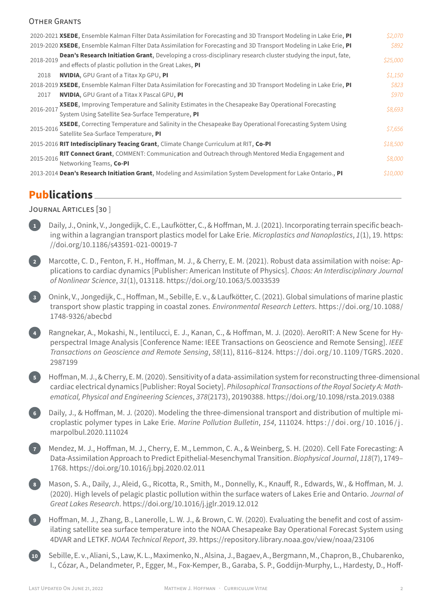#### OTHER GRANTS

| 2020-2021 XSEDE, Ensemble Kalman Filter Data Assimilation for Forecasting and 3D Transport Modeling in Lake Erie, PI      | \$2,070  |
|---------------------------------------------------------------------------------------------------------------------------|----------|
| 2019-2020 XSEDE, Ensemble Kalman Filter Data Assimilation for Forecasting and 3D Transport Modeling in Lake Erie, PI      | \$892    |
| Dean's Research Initiation Grant, Developing a cross-disciplinary research cluster studying the input, fate,<br>2018-2019 | \$25,000 |
| and effects of plastic pollution in the Great Lakes, PI                                                                   |          |
| <b>NVIDIA, GPU Grant of a Titax Xp GPU, PI</b><br>2018                                                                    | \$1,150  |
| 2018-2019 XSEDE, Ensemble Kalman Filter Data Assimilation for Forecasting and 3D Transport Modeling in Lake Erie, PI      | S823     |
| <b>NVIDIA, GPU Grant of a Titax X Pascal GPU, PI</b><br>2017                                                              | \$970    |
| <b>XSEDE</b> , Improving Temperature and Salinity Estimates in the Chesapeake Bay Operational Forecasting<br>2016-2017    | \$8,693  |
| System Using Satellite Sea-Surface Temperature, PI                                                                        |          |
| <b>XSEDE,</b> Correcting Temperature and Salinity in the Chesapeake Bay Operational Forecasting System Using<br>2015-2016 | \$7,656  |
| Satellite Sea-Surface Temperature, PI                                                                                     |          |
| 2015-2016 RIT Intedisciplinary Teacing Grant, Climate Change Curriculum at RIT, Co-PI                                     | \$18,500 |
| RIT Connect Grant, COMMENT: Communication and Outreach through Mentored Media Engagement and<br>2015-2016                 | \$8,000  |
| Networking Teams, Co-PI                                                                                                   |          |
| 2013-2014 Dean's Research Initiation Grant, Modeling and Assimilation System Development for Lake Ontario., PI            | \$10,000 |
|                                                                                                                           |          |

#### **Publications**

#### JOURNAL ARTiCLES [30 ]

- **1** Daily, J., Onink, V., Jongedijk, C. E., Laufkötter, C., & Hoffman, M. J. (2021). Incorporating terrain specific beach‑ ing within a lagrangian transport plastics model for Lake Erie. *Microplastics and Nanoplastics*, *1*(1), 19. [https:](https://doi.org/10.1186/s43591-021-00019-7) [//doi.org/10.1186/s43591‑021‑00019‑7](https://doi.org/10.1186/s43591-021-00019-7)
- **2** Marcotte, C. D., Fenton, F. H., Hoffman, M. J., & Cherry, E. M. (2021). Robust data assimilation with noise: Ap‑ plications to cardiac dynamics [Publisher: American Institute of Physics]. *Chaos: An Interdisciplinary Journal of Nonlinear Science*, *31*(1), 013118. <https://doi.org/10.1063/5.0033539>
	- **3** Onink, V., Jongedijk, C., Hoffman, M., Sebille, E. v., & Laufkötter, C. (2021). Global simulations of marine plastic transport show plastic trapping in coastal zones. *Environmental Research Letters*. [https://doi.org/10.1088/](https://doi.org/10.1088/1748-9326/abecbd) [1748‑9326/abecbd](https://doi.org/10.1088/1748-9326/abecbd)
	- **4** Rangnekar, A., Mokashi, N., Ientilucci, E. J., Kanan, C., & Hoffman, M. J. (2020). AeroRIT: A New Scene for Hy‑ perspectral Image Analysis [Conference Name: IEEE Transactions on Geoscience and Remote Sensing]. *IEEE Transactions on Geoscience and Remote Sensing*, *58*(11), 8116–8124. [https://doi.org/10.1109/TGRS.2020.](https://doi.org/10.1109/TGRS.2020.2987199) [2987199](https://doi.org/10.1109/TGRS.2020.2987199)
	- **5** Hoffman, M. J., & Cherry, E. M. (2020). Sensitivity of a data‑assimilation systemfor reconstructing three‑dimensional cardiac electrical dynamics [Publisher: Royal Society]. *Philosophical Transactions of the Royal Society A: Math‑ ematical, Physical and Engineering Sciences*, *378*(2173), 20190388. <https://doi.org/10.1098/rsta.2019.0388>
	- **Daily, J., & Hoffman, M. J. (2020). Modeling the three-dimensional transport and distribution of multiple mi**croplastic polymer types in Lake Erie. *Marine Pollution Bulletin*, *154*, 111024. [https : / / doi . org / 10 . 1016 / j .](https://doi.org/10.1016/j.marpolbul.2020.111024) [marpolbul.2020.111024](https://doi.org/10.1016/j.marpolbul.2020.111024)
	- **7** Mendez, M. J., Hoffman, M. J., Cherry, E. M., Lemmon, C. A., & Weinberg, S. H. (2020). Cell Fate Forecasting: A Data‑Assimilation Approach to Predict Epithelial‑Mesenchymal Transition. *Biophysical Journal*, *118*(7), 1749– 1768. <https://doi.org/10.1016/j.bpj.2020.02.011>
	- **8** Mason, S. A., Daily, J., Aleid, G., Ricotta, R., Smith, M., Donnelly, K., Knauff, R., Edwards, W., & Hoffman, M. J. (2020). High levels of pelagic plastic pollution within the surface waters of Lakes Erie and Ontario. *Journal of Great Lakes Research*. <https://doi.org/10.1016/j.jglr.2019.12.012>
		- **9** Hoffman, M. J., Zhang, B., Lanerolle, L. W. J., & Brown, C. W. (2020). Evaluating the benefit and cost of assim‑ ilating satellite sea surface temperature into the NOAA Chesapeake Bay Operational Forecast System using 4DVAR and LETKF. *NOAA Technical Report*, *39*. <https://repository.library.noaa.gov/view/noaa/23106>
- **10** Sebille, E. v., Aliani, S., Law, K. L., Maximenko, N., Alsina, J., Bagaev, A., Bergmann, M., Chapron, B., Chubarenko, I., Cózar, A., Delandmeter, P., Egger, M., Fox-Kemper, B., Garaba, S. P., Goddijn-Murphy, L., Hardesty, D., Hoff-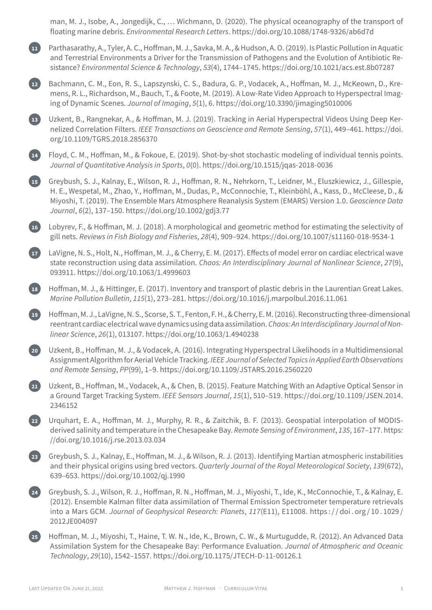man, M. J., Isobe, A., Jongedijk, C., … Wichmann, D. (2020). The physical oceanography of the transport of floating marine debris. *Environmental Research Letters*. [https://doi.org/10.1088/1748‑9326/ab6d7d](https://doi.org/10.1088/1748-9326/ab6d7d)

**11** Parthasarathy, A., Tyler, A. C., Hoffman, M. J., Savka, M. A., & Hudson, A. O. (2019). Is Plastic Pollution in Aquatic and Terrestrial Environments a Driver for the Transmission of Pathogens and the Evolution of Antibiotic Re‑ sistance? *Environmental Science & Technology*, *53*(4), 1744–1745. <https://doi.org/10.1021/acs.est.8b07287>

Bachmann, C. M., Eon, R. S., Lapszynski, C. S., Badura, G. P., Vodacek, A., Hoffman, M. J., McKeown, D., Kremens, R. L., Richardson, M., Bauch, T., & Foote, M. (2019). A Low-Rate Video Approach to Hyperspectral Imaging of Dynamic Scenes. *Journal of Imaging*, *5*(1), 6. <https://doi.org/10.3390/jimaging5010006>

**13** Uzkent, B., Rangnekar, A., & Hoffman, M. J. (2019). Tracking in Aerial Hyperspectral Videos Using Deep Ker‑ nelized Correlation Filters. *IEEE Transactions on Geoscience and Remote Sensing*, *57*(1), 449–461. [https://doi.](https://doi.org/10.1109/TGRS.2018.2856370) [org/10.1109/TGRS.2018.2856370](https://doi.org/10.1109/TGRS.2018.2856370)

**14** Floyd, C. M., Hoffman, M., & Fokoue, E. (2019). Shot‑by‑shot stochastic modeling of individual tennis points. *Journal of Quantitative Analysis in Sports*, *0*(0). [https://doi.org/10.1515/jqas‑2018‑0036](https://doi.org/10.1515/jqas-2018-0036)

**15** Greybush, S. J., Kalnay, E., Wilson, R. J., Hoffman, R. N., Nehrkorn, T., Leidner, M., Eluszkiewicz, J., Gillespie, H. E., Wespetal, M., Zhao, Y., Hoffman, M., Dudas, P., McConnochie, T., Kleinböhl, A., Kass, D., McCleese, D., & Miyoshi, T. (2019). The Ensemble Mars Atmosphere Reanalysis System (EMARS) Version 1.0. *Geoscience Data Journal*, *6*(2), 137–150. <https://doi.org/10.1002/gdj3.77>

**16** Lobyrev, F., & Hoffman, M. J. (2018). A morphological and geometric method for estimating the selectivity of gill nets. *Reviews in Fish Biology and Fisheries*, *28*(4), 909–924. [https://doi.org/10.1007/s11160‑018‑9534‑1](https://doi.org/10.1007/s11160-018-9534-1)

**17** LaVigne, N. S., Holt, N., Hoffman, M. J., & Cherry, E. M. (2017). Effects of model error on cardiac electrical wave state reconstruction using data assimilation. *Chaos: An Interdisciplinary Journal of Nonlinear Science*, *27*(9), 093911. <https://doi.org/10.1063/1.4999603>

**18** Hoffman, M. J., & Hittinger, E. (2017). Inventory and transport of plastic debris in the Laurentian Great Lakes. *Marine Pollution Bulletin*, *115*(1), 273–281. <https://doi.org/10.1016/j.marpolbul.2016.11.061>

**19** Hoffman, M. J., LaVigne, N. S., Scorse, S. T., Fenton, F. H., & Cherry, E. M. (2016). Reconstructing three‑dimensional reentrant cardiac electrical wave dynamics using data assimilation.*Chaos: An Interdisciplinary Journal of Non‑ linear Science*, *26*(1), 013107. <https://doi.org/10.1063/1.4940238>

**20** Uzkent, B., Hoffman, M. J., & Vodacek, A. (2016). Integrating Hyperspectral Likelihoods in a Multidimensional Assignment Algorithmfor Aerial Vehicle Tracking. *IEEE Journal of Selected Topics in Applied Earth Observations and Remote Sensing*, *PP*(99), 1–9. <https://doi.org/10.1109/JSTARS.2016.2560220>

**21** Uzkent, B., Hoffman, M., Vodacek, A., & Chen, B. (2015). Feature Matching With an Adaptive Optical Sensor in a Ground Target Tracking System. *IEEE Sensors Journal*, *15*(1), 510–519. [https://doi.org/10.1109/JSEN.2014.](https://doi.org/10.1109/JSEN.2014.2346152) [2346152](https://doi.org/10.1109/JSEN.2014.2346152)

**22** Urquhart, E. A., Hoffman, M. J., Murphy, R. R., & Zaitchik, B. F. (2013). Geospatial interpolation of MODIS‑ derived salinity and temperature in the Chesapeake Bay. *Remote Sensing of Environment*, *135*, 167–177. [https:](https://doi.org/10.1016/j.rse.2013.03.034) [//doi.org/10.1016/j.rse.2013.03.034](https://doi.org/10.1016/j.rse.2013.03.034)

**23** Greybush, S. J., Kalnay, E., Hoffman, M. J., & Wilson, R. J. (2013). Identifying Martian atmospheric instabilities and their physical origins using bred vectors. *Quarterly Journal of the Royal Meteorological Society*, *139*(672), 639–653. <https://doi.org/10.1002/qj.1990>

**24** Greybush, S. J., Wilson, R. J., Hoffman, R. N., Hoffman, M. J., Miyoshi, T., Ide, K., McConnochie, T., & Kalnay, E. (2012). Ensemble Kalman filter data assimilation of Thermal Emission Spectrometer temperature retrievals into a Mars GCM. *Journal of Geophysical Research: Planets*, *117*(E11), E11008. [https : / / doi . org / 10 . 1029 /](https://doi.org/10.1029/2012JE004097) [2012JE004097](https://doi.org/10.1029/2012JE004097)

**25** Hoffman, M. J., Miyoshi, T., Haine, T. W. N., Ide, K., Brown, C. W., & Murtugudde, R. (2012). An Advanced Data Assimilation System for the Chesapeake Bay: Performance Evaluation. *Journal of Atmospheric and Oceanic Technology*, *29*(10), 1542–1557. [https://doi.org/10.1175/JTECH‑D‑11‑00126.1](https://doi.org/10.1175/JTECH-D-11-00126.1)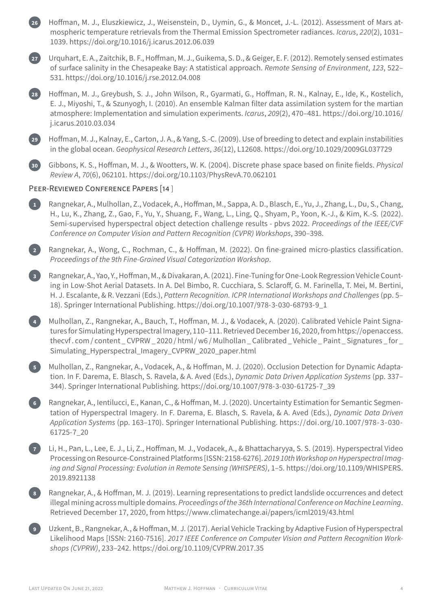**26** Hoffman, M. J., Eluszkiewicz, J., Weisenstein, D., Uymin, G., & Moncet, J.‑L. (2012). Assessment of Mars at‑ mospheric temperature retrievals from the Thermal Emission Spectrometer radiances. *Icarus*, *220*(2), 1031– 1039. <https://doi.org/10.1016/j.icarus.2012.06.039> **27** Urquhart, E. A., Zaitchik, B. F., Hoffman, M. J., Guikema, S. D., & Geiger, E. F. (2012). Remotely sensed estimates of surface salinity in the Chesapeake Bay: A statistical approach. *Remote Sensing of Environment*, *123*, 522– 531. <https://doi.org/10.1016/j.rse.2012.04.008> **28** Hoffman, M. J., Greybush, S. J., John Wilson, R., Gyarmati, G., Hoffman, R. N., Kalnay, E., Ide, K., Kostelich, E. J., Miyoshi, T., & Szunyogh, I. (2010). An ensemble Kalman filter data assimilation system for the martian atmosphere: Implementation and simulation experiments. *Icarus*, *209*(2), 470–481. [https://doi.org/10.1016/](https://doi.org/10.1016/j.icarus.2010.03.034) [j.icarus.2010.03.034](https://doi.org/10.1016/j.icarus.2010.03.034) **29** Hoffman, M. J., Kalnay, E., Carton, J. A., & Yang, S.‑C. (2009). Use of breeding to detect and explain instabilities in the global ocean. *Geophysical Research Letters*, *36*(12), L12608. <https://doi.org/10.1029/2009GL037729> **30** Gibbons, K. S., Hoffman, M. J., & Wootters, W. K. (2004). Discrete phase space based on finite fields. *Physical Review A*, *70*(6), 062101. <https://doi.org/10.1103/PhysRevA.70.062101> PEER-REVIEWED CONFERENCE PAPERS [14] **1** Rangnekar, A., Mulhollan, Z., Vodacek, A., Hoffman, M., Sappa, A. D., Blasch, E., Yu, J., Zhang, L., Du, S., Chang, H., Lu, K., Zhang, Z., Gao, F., Yu, Y., Shuang, F., Wang, L., Ling, Q., Shyam, P., Yoon, K.‑J., & Kim, K.‑S. (2022). Semi‑supervised hyperspectral object detection challenge results ‑ pbvs 2022. *Proceedings of the IEEE/CVF Conference on Computer Vision and Pattern Recognition (CVPR) Workshops*, 390–398. **2** Rangnekar, A., Wong, C., Rochman, C., & Hoffman, M. (2022). On fine‑grained micro‑plastics classification. *Proceedings of the 9th Fine‑Grained Visual Categorization Workshop*. **3** Rangnekar, A., Yao, Y., Hoffman, M., & Divakaran, A. (2021). Fine‑Tuningfor One‑Look Regression Vehicle Count‑ ing in Low‑Shot Aerial Datasets. In A. Del Bimbo, R. Cucchiara, S. Sclaroff, G. M. Farinella, T. Mei, M. Bertini, H. J. Escalante, & R. Vezzani (Eds.), *Pattern Recognition. ICPR International Workshops and Challenges* (pp. 5– 18). Springer International Publishing. [https://doi.org/10.1007/978‑3‑030‑68793‑9\\_1](https://doi.org/10.1007/978-3-030-68793-9_1) **4** Mulhollan, Z., Rangnekar, A., Bauch, T., Hoffman, M. J., & Vodacek, A. (2020). Calibrated Vehicle Paint Signa‑ tures for Simulating Hyperspectral Imagery, 110–111. Retrieved December 16, 2020, from [https://openaccess.](https://openaccess.thecvf.com/content_CVPRW_2020/html/w6/Mulhollan_Calibrated_Vehicle_Paint_Signatures_for_Simulating_Hyperspectral_Imagery_CVPRW_2020_paper.html) [thecvf . com / content \\_ CVPRW \\_ 2020 / html / w6 / Mulhollan \\_ Calibrated \\_ Vehicle \\_ Paint \\_ Signatures \\_ for \\_](https://openaccess.thecvf.com/content_CVPRW_2020/html/w6/Mulhollan_Calibrated_Vehicle_Paint_Signatures_for_Simulating_Hyperspectral_Imagery_CVPRW_2020_paper.html) [Simulating\\_Hyperspectral\\_Imagery\\_CVPRW\\_2020\\_paper.html](https://openaccess.thecvf.com/content_CVPRW_2020/html/w6/Mulhollan_Calibrated_Vehicle_Paint_Signatures_for_Simulating_Hyperspectral_Imagery_CVPRW_2020_paper.html) **5** Mulhollan, Z., Rangnekar, A., Vodacek, A., & Hoffman, M. J. (2020). Occlusion Detection for Dynamic Adaptation. In F. Darema, E. Blasch, S. Ravela, & A. Aved (Eds.), *Dynamic Data Driven Application Systems* (pp. 337– 344). Springer International Publishing. [https://doi.org/10.1007/978‑3‑030‑61725‑7\\_39](https://doi.org/10.1007/978-3-030-61725-7_39) **6** Rangnekar, A., Ientilucci, E., Kanan, C., & Hoffman, M. J. (2020). Uncertainty Estimation for Semantic Segmentation of Hyperspectral Imagery. In F. Darema, E. Blasch, S. Ravela, & A. Aved (Eds.), *Dynamic Data Driven Application Systems* (pp. 163–170). Springer International Publishing. [https://doi.org/10.1007/978‑3‑030‑](https://doi.org/10.1007/978-3-030-61725-7_20) [61725‑7\\_20](https://doi.org/10.1007/978-3-030-61725-7_20) **7** Li, H., Pan, L., Lee, E. J., Li, Z., Hoffman, M. J., Vodacek, A., & Bhattacharyya, S. S. (2019). Hyperspectral Video Processing on Resource‑Constrained Platforms [ISSN: 2158‑6276]. *2019 10th Workshop on Hyperspectral Imag‑ ing and Signal Processing: Evolution in Remote Sensing (WHISPERS)*, 1–5. [https://doi.org/10.1109/WHISPERS.](https://doi.org/10.1109/WHISPERS.2019.8921138) [2019.8921138](https://doi.org/10.1109/WHISPERS.2019.8921138) **8** Rangnekar, A., & Hoffman, M. J. (2019). Learning representations to predict landslide occurrences and detect illegal mining across multiple domains. *Proceedings of the 36th International Conference on Machine Learning*. Retrieved December 17, 2020, from <https://www.climatechange.ai/papers/icml2019/43.html>

**9** Uzkent, B., Rangnekar, A., & Hoffman, M. J. (2017). Aerial Vehicle Tracking by Adaptive Fusion of Hyperspectral Likelihood Maps [ISSN: 2160‑7516]. *2017 IEEE Conference on Computer Vision and Pattern Recognition Work‑ shops (CVPRW)*, 233–242. <https://doi.org/10.1109/CVPRW.2017.35>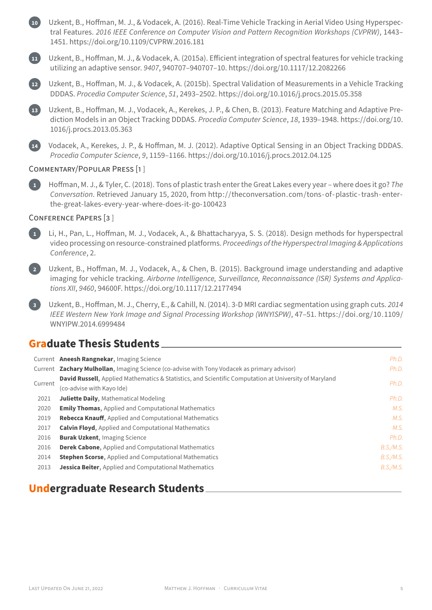**10** Uzkent, B., Hoffman, M. J., & Vodacek, A. (2016). Real‑Time Vehicle Tracking in Aerial Video Using Hyperspec‑ tral Features. *2016 IEEE Conference on Computer Vision and Pattern Recognition Workshops (CVPRW)*, 1443– 1451. <https://doi.org/10.1109/CVPRW.2016.181>



**11** Uzkent, B., Hoffman, M. J., & Vodacek, A. (2015a). Efficient integration of spectral features for vehicle tracking utilizing an adaptive sensor. *9407*, 940707–940707–10. <https://doi.org/10.1117/12.2082266>

**12** Uzkent, B., Hoffman, M. J., & Vodacek, A. (2015b). Spectral Validation of Measurements in a Vehicle Tracking DDDAS. *Procedia Computer Science*, *51*, 2493–2502. <https://doi.org/10.1016/j.procs.2015.05.358>

**13** Uzkent, B., Hoffman, M. J., Vodacek, A., Kerekes, J. P., & Chen, B. (2013). Feature Matching and Adaptive Pre‑ diction Models in an Object Tracking DDDAS. *Procedia Computer Science*, *18*, 1939–1948. [https://doi.org/10.](https://doi.org/10.1016/j.procs.2013.05.363) [1016/j.procs.2013.05.363](https://doi.org/10.1016/j.procs.2013.05.363)

**14** Vodacek, A., Kerekes, J. P., & Hoffman, M. J. (2012). Adaptive Optical Sensing in an Object Tracking DDDAS. *Procedia Computer Science*, *9*, 1159–1166. <https://doi.org/10.1016/j.procs.2012.04.125>

#### COMMENTARY/POPULAR PRESS [1 ]

**1** Hoffman, M. J., & Tyler, C. (2018). Tons of plastic trash enter the Great Lakes every year – where does it go? *The Conversation*. Retrieved January 15, 2020, from [http://theconversation.com/tons‑of‑plastic‑ trash‑enter‑](http://theconversation.com/tons-of-plastic-trash-enter-the-great-lakes-every-year-where-does-it-go-100423) [the‑great‑lakes‑every‑year‑where‑does‑it‑go‑100423](http://theconversation.com/tons-of-plastic-trash-enter-the-great-lakes-every-year-where-does-it-go-100423)

#### CONFERENCE PAPERS [3 ]

**1** Li, H., Pan, L., Hoffman, M. J., Vodacek, A., & Bhattacharyya, S. S. (2018). Design methods for hyperspectral video processing on resource‑constrained platforms. *Proceedings of the Hyperspectral Imaging & Applications Conference*, 2.



**2** Uzkent, B., Hoffman, M. J., Vodacek, A., & Chen, B. (2015). Background image understanding and adaptive imaging for vehicle tracking. *Airborne Intelligence, Surveillance, Reconnaissance (ISR) Systems and Applica‑ tions XII*, *9460*, 94600F. <https://doi.org/10.1117/12.2177494>

**3** Uzkent, B., Hoffman, M. J., Cherry, E., & Cahill, N. (2014). 3‑D MRI cardiac segmentation using graph cuts. *2014 IEEE Western New York Image and Signal Processing Workshop (WNYISPW)*, 47–51. [https://doi.org/10.1109/](https://doi.org/10.1109/WNYIPW.2014.6999484) [WNYIPW.2014.6999484](https://doi.org/10.1109/WNYIPW.2014.6999484)

#### **Graduate Thesis Students**

|         | Current Aneesh Rangnekar, Imaging Science                                                                     | Ph.D.     |
|---------|---------------------------------------------------------------------------------------------------------------|-----------|
|         | Current Zachary Mulhollan, Imaging Science (co-advise with Tony Vodacek as primary advisor)                   | Ph.D.     |
| Current | <b>David Russell</b> , Applied Mathematics & Statistics, and Scientific Computation at University of Maryland | Ph.D.     |
|         | (co-advise with Kayo Ide)                                                                                     |           |
| 2021    | <b>Juliette Daily, Mathematical Modeling</b>                                                                  | Ph.D.     |
| 2020    | <b>Emily Thomas, Applied and Computational Mathematics</b>                                                    | M.S.      |
| 2019    | <b>Rebecca Knauff, Applied and Computational Mathematics</b>                                                  | M.S.      |
| 2017    | <b>Calvin Floyd, Applied and Computational Mathematics</b>                                                    | M.S.      |
| 2016    | <b>Burak Uzkent, Imaging Science</b>                                                                          | Ph.D.     |
| 2016    | <b>Derek Cabone, Applied and Computational Mathematics</b>                                                    | B.S./M.S. |
| 2014    | <b>Stephen Scorse, Applied and Computational Mathematics</b>                                                  | B.S./M.S. |
| 2013    | <b>Jessica Beiter, Applied and Computational Mathematics</b>                                                  | B.S./M.S. |

#### **Undergraduate Research Students**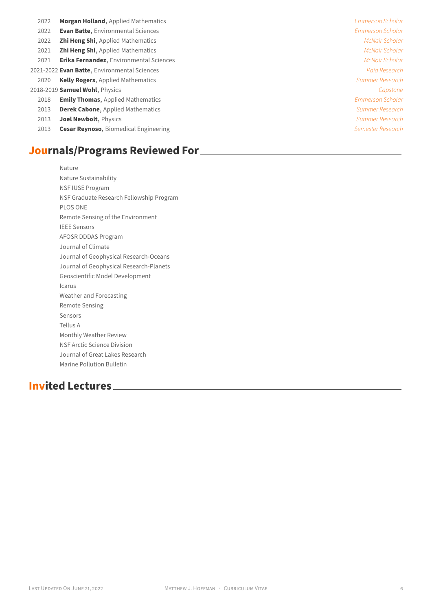- 2022 **Morgan Holland**, Applied Mathematics *Emmerson Scholar*
- 2022 **Evan Batte**, Environmental Sciences *Emmerson Scholar*
- 2022 **Zhi Heng Shi**, Applied Mathematics *McNair Scholar*
- 2021 **Zhi Heng Shi**, Applied Mathematics *McNair Scholar*
- 2021 **Erika Fernandez**, Environmental Sciences *McNair Scholar*
- 2021‑2022 **Evan Batte**, Environmental Sciences *Paid Research*
	- 2020 **Kelly Rogers**, Applied Mathematics *Summer Research*

#### 2018‑2019 **Samuel Wohl**, Physics *Capstone*

- 2018 **Emily Thomas**, Applied Mathematics *Emmerson Scholar*
- 2013 **Derek Cabone**, Applied Mathematics *Summer Research*
- 2013 **Joel Newbolt**, Physics *Summer Research*
- 2013 **Cesar Reynoso**, Biomedical Engineering *Semester Research*

### **Journals/Programs Reviewed For**

Nature Nature Sustainability NSF IUSE Program NSF Graduate Research Fellowship Program PLOS ONE Remote Sensing of the Environment IEEE Sensors AFOSR DDDAS Program Journal of Climate Journal of Geophysical Research‑Oceans Journal of Geophysical Research‑Planets Geoscientific Model Development Icarus Weather and Forecasting Remote Sensing Sensors Tellus A Monthly Weather Review NSF Arctic Science Division Journal of Great Lakes Research Marine Pollution Bulletin

## **Invited Lectures**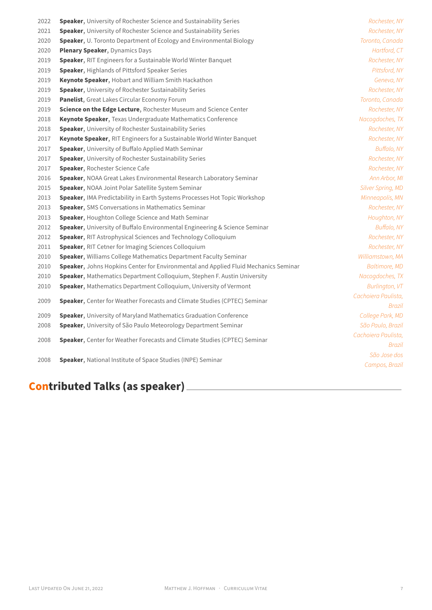| 2022 | Speaker, University of Rochester Science and Sustainability Series                  | Rochester, NY       |
|------|-------------------------------------------------------------------------------------|---------------------|
| 2021 | Speaker, University of Rochester Science and Sustainability Series                  | Rochester, NY       |
| 2020 | Speaker, U. Toronto Department of Ecology and Environmental Biology                 | Toronto, Canada     |
| 2020 | Plenary Speaker, Dynamics Days                                                      | Hartford, CT        |
| 2019 | Speaker, RIT Engineers for a Sustainable World Winter Banquet                       | Rochester, NY       |
| 2019 | Speaker, Highlands of Pittsford Speaker Series                                      | Pittsford, NY       |
| 2019 | Keynote Speaker, Hobart and William Smith Hackathon                                 | Geneva, NY          |
| 2019 | Speaker, University of Rochester Sustainability Series                              | Rochester, NY       |
| 2019 | Panelist, Great Lakes Circular Economy Forum                                        | Toronto, Canada     |
| 2019 | Science on the Edge Lecture, Rochester Museum and Science Center                    | Rochester, NY       |
| 2018 | Keynote Speaker, Texas Undergraduate Mathematics Conference                         | Nacogdoches, TX     |
| 2018 | Speaker, University of Rochester Sustainability Series                              | Rochester, NY       |
| 2017 | Keynote Speaker, RIT Engineers for a Sustainable World Winter Banquet               | Rochester, NY       |
| 2017 | Speaker, University of Buffalo Applied Math Seminar                                 | Buffalo, NY         |
| 2017 | Speaker, University of Rochester Sustainability Series                              | Rochester, NY       |
| 2017 | Speaker, Rochester Science Cafe                                                     | Rochester, NY       |
| 2016 | Speaker, NOAA Great Lakes Environmental Research Laboratory Seminar                 | Ann Arbor, MI       |
| 2015 | Speaker, NOAA Joint Polar Satellite System Seminar                                  | Silver Spring, MD   |
| 2013 | Speaker, IMA Predictability in Earth Systems Processes Hot Topic Workshop           | Minneapolis, MN     |
| 2013 | Speaker, SMS Conversations in Mathematics Seminar                                   | Rochester, NY       |
| 2013 | Speaker, Houghton College Science and Math Seminar                                  | Houghton, NY        |
| 2012 | Speaker, University of Buffalo Environmental Engineering & Science Seminar          | Buffalo, NY         |
| 2012 | Speaker, RIT Astrophysical Sciences and Technology Colloquium                       | Rochester, NY       |
| 2011 | Speaker, RIT Cetner for Imaging Sciences Colloquium                                 | Rochester, NY       |
| 2010 | Speaker, Williams College Mathematics Department Faculty Seminar                    | Williamstown, MA    |
| 2010 | Speaker, Johns Hopkins Center for Environmental and Applied Fluid Mechanics Seminar | Baltimore, MD       |
| 2010 | Speaker, Mathematics Department Colloquium, Stephen F. Austin University            | Nacogdoches, TX     |
| 2010 | Speaker, Mathematics Department Colloquium, University of Vermont                   | Burlington, VT      |
| 2009 | Speaker, Center for Weather Forecasts and Climate Studies (CPTEC) Seminar           | Cachoiera Paulista, |
|      |                                                                                     | Brazil              |
| 2009 | <b>Speaker, University of Maryland Mathematics Graduation Conference</b>            | College Park, MD    |
| 2008 | Speaker, University of São Paulo Meteorology Department Seminar                     | São Paulo, Brazil   |
| 2008 | Speaker, Center for Weather Forecasts and Climate Studies (CPTEC) Seminar           | Cachoiera Paulista, |
|      |                                                                                     | Brazil              |
| 2008 | Speaker, National Institute of Space Studies (INPE) Seminar                         | São Jose dos        |
|      |                                                                                     | Campos, Brazil      |
|      |                                                                                     |                     |

# **Contributed Talks (as speaker)**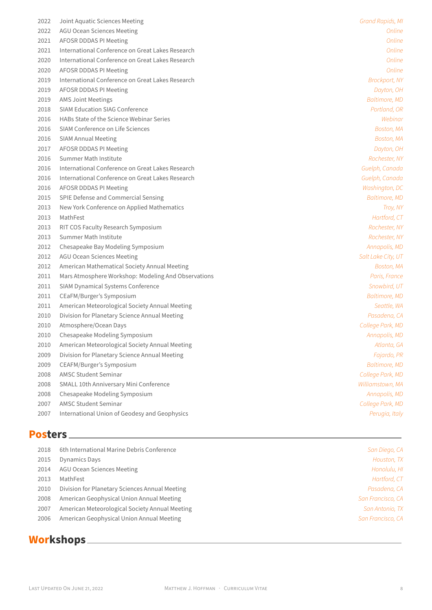| 2022 | Joint Aquatic Sciences Meeting                      | Grand Rapids, MI     |
|------|-----------------------------------------------------|----------------------|
| 2022 | <b>AGU Ocean Sciences Meeting</b>                   | Online               |
| 2021 | AFOSR DDDAS PI Meeting                              | Online               |
| 2021 | International Conference on Great Lakes Research    | Online               |
| 2020 | International Conference on Great Lakes Research    | Online               |
| 2020 | AFOSR DDDAS PI Meeting                              | Online               |
| 2019 | International Conference on Great Lakes Research    | <b>Brockport, NY</b> |
| 2019 | AFOSR DDDAS PI Meeting                              | Dayton, OH           |
| 2019 | <b>AMS Joint Meetings</b>                           | <b>Baltimore, MD</b> |
| 2018 | <b>SIAM Education SIAG Conference</b>               | Portland, OR         |
| 2016 | HABs State of the Science Webinar Series            | Webinar              |
| 2016 | SIAM Conference on Life Sciences                    | Boston, MA           |
| 2016 | <b>SIAM Annual Meeting</b>                          | Boston, MA           |
| 2017 | AFOSR DDDAS PI Meeting                              | Dayton, OH           |
| 2016 | Summer Math Institute                               | Rochester, NY        |
| 2016 | International Conference on Great Lakes Research    | Guelph, Canada       |
| 2016 | International Conference on Great Lakes Research    | Guelph, Canada       |
| 2016 | AFOSR DDDAS PI Meeting                              | Washington, DC       |
| 2015 | SPIE Defense and Commercial Sensing                 | <b>Baltimore, MD</b> |
| 2013 | New York Conference on Applied Mathematics          | Troy, NY             |
| 2013 | MathFest                                            | Hartford, CT         |
| 2013 | RIT COS Faculty Research Symposium                  | Rochester, NY        |
| 2013 | Summer Math Institute                               | Rochester, NY        |
| 2012 | Chesapeake Bay Modeling Symposium                   | Annapolis, MD        |
| 2012 | <b>AGU Ocean Sciences Meeting</b>                   | Salt Lake City, UT   |
| 2012 | American Mathematical Society Annual Meeting        | Boston, MA           |
| 2011 | Mars Atmosphere Workshop: Modeling And Observations | Paris, France        |
| 2011 | SIAM Dynamical Systems Conference                   | Snowbird, UT         |
| 2011 | CEaFM/Burger's Symposium                            | Baltimore, MD        |
| 2011 | American Meteorological Society Annual Meeting      | Seattle, WA          |
| 2010 | Division for Planetary Science Annual Meeting       | Pasadena, CA         |
| 2010 | Atmosphere/Ocean Days                               | College Park, MD     |
| 2010 | Chesapeake Modeling Symposium                       | Annapolis, MD        |
| 2010 | American Meteorological Society Annual Meeting      | Atlanta, GA          |
| 2009 | Division for Planetary Science Annual Meeting       | Fajardo, PR          |
| 2009 | CEAFM/Burger's Symposium                            | <b>Baltimore, MD</b> |
| 2008 | <b>AMSC Student Seminar</b>                         | College Park, MD     |
| 2008 | SMALL 10th Anniversary Mini Conference              | Williamstown, MA     |
| 2008 | Chesapeake Modeling Symposium                       | Annapolis, MD        |
| 2007 | AMSC Student Seminar                                | College Park, MD     |
| 2007 | International Union of Geodesy and Geophysics       | Perugia, Italy       |
|      |                                                     |                      |

## **Posters**

| 2018 | 6th International Marine Debris Conference     | San Diego, CA     |
|------|------------------------------------------------|-------------------|
| 2015 | Dynamics Days                                  | Houston, TX       |
| 2014 | AGU Ocean Sciences Meeting                     | Honolulu, HI      |
| 2013 | MathFest                                       | Hartford, CT      |
| 2010 | Division for Planetary Sciences Annual Meeting | Pasadena, CA      |
| 2008 | American Geophysical Union Annual Meeting      | San Francisco, CA |
| 2007 | American Meteorological Society Annual Meeting | San Antonio, TX   |
| 2006 | American Geophysical Union Annual Meeting      | San Francisco, CA |

## **Workshops**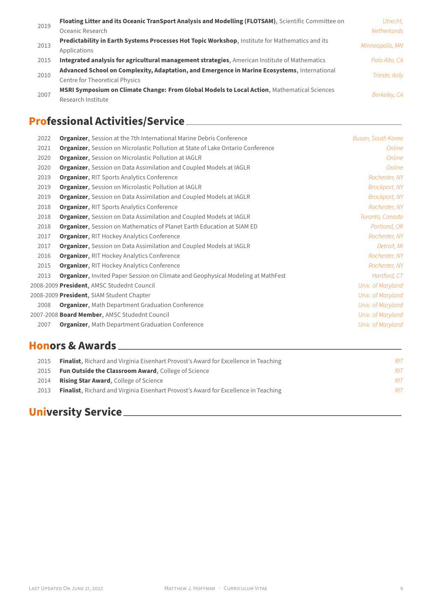|      | Floating Litter and its Oceanic TranSport Analysis and Modelling (FLOTSAM), Scientific Committee on | Utrecht.        |  |
|------|-----------------------------------------------------------------------------------------------------|-----------------|--|
| 2019 | Oceanic Research                                                                                    | Netherlands     |  |
|      | Predictability in Earth Systems Processes Hot Topic Workshop, Institute for Mathematics and its     | Minneapolis, MN |  |
| 2013 | Applications                                                                                        |                 |  |
| 2015 | Integrated analysis for agricultural management strategies, American Institute of Mathematics       | Palo Alto, CA   |  |
|      | Advanced School on Complexity, Adaptation, and Emergence in Marine Ecosystems, International        |                 |  |
| 2010 | <b>Centre for Theoretical Physics</b>                                                               | Trieste, Italy  |  |
| 2007 | MSRI Symposium on Climate Change: From Global Models to Local Action, Mathematical Sciences         |                 |  |
|      | Research Institute                                                                                  | Berkeley, CA    |  |

## **Professional Activities/Service**

| 2022 | <b>Organizer, Session at the 7th International Marine Debris Conference</b>             | Busan, South Korea   |
|------|-----------------------------------------------------------------------------------------|----------------------|
| 2021 | <b>Organizer</b> , Session on Microlastic Pollution at State of Lake Ontario Conference | Online               |
| 2020 | Organizer, Session on Microlastic Pollution at IAGLR                                    | Online               |
| 2020 | <b>Organizer, Session on Data Assimilation and Coupled Models at IAGLR</b>              | Online               |
| 2019 | <b>Organizer, RIT Sports Analytics Conference</b>                                       | Rochester, NY        |
| 2019 | <b>Organizer, Session on Microlastic Pollution at IAGLR</b>                             | <b>Brockport, NY</b> |
| 2019 | <b>Organizer, Session on Data Assimilation and Coupled Models at IAGLR</b>              | <b>Brockport, NY</b> |
| 2018 | <b>Organizer, RIT Sports Analytics Conference</b>                                       | Rochester, NY        |
| 2018 | Organizer, Session on Data Assimilation and Coupled Models at IAGLR                     | Toronto, Canada      |
| 2018 | <b>Organizer, Session on Mathematics of Planet Earth Education at SIAM ED</b>           | Portland, OR         |
| 2017 | <b>Organizer, RIT Hockey Analytics Conference</b>                                       | Rochester, NY        |
| 2017 | <b>Organizer, Session on Data Assimilation and Coupled Models at IAGLR</b>              | Detroit, MI          |
| 2016 | <b>Organizer, RIT Hockey Analytics Conference</b>                                       | Rochester, NY        |
| 2015 | <b>Organizer, RIT Hockey Analytics Conference</b>                                       | Rochester, NY        |
| 2013 | Organizer, Invited Paper Session on Climate and Geophysical Modeling at MathFest        | Hartford, CT         |
|      | 2008-2009 President, AMSC Studednt Council                                              | Univ. of Maryland    |
|      | 2008-2009 President, SIAM Student Chapter                                               | Univ. of Maryland    |
| 2008 | <b>Organizer, Math Department Graduation Conference</b>                                 | Univ. of Maryland    |
|      | 2007-2008 Board Member, AMSC Studednt Council                                           | Univ. of Maryland    |
| 2007 | <b>Organizer, Math Department Graduation Conference</b>                                 | Univ. of Maryland    |

| 2015 | <b>Finalist</b> , Richard and Virginia Eisenhart Provost's Award for Excellence in Teaching | RIT |
|------|---------------------------------------------------------------------------------------------|-----|
| 2015 | <b>Fun Outside the Classroom Award, College of Science</b>                                  | RIT |
| 2014 | <b>Rising Star Award, College of Science</b>                                                | RIT |
| 2013 | <b>Finalist</b> , Richard and Virginia Eisenhart Provost's Award for Excellence in Teaching | RIT |
|      |                                                                                             |     |

# **University Service**